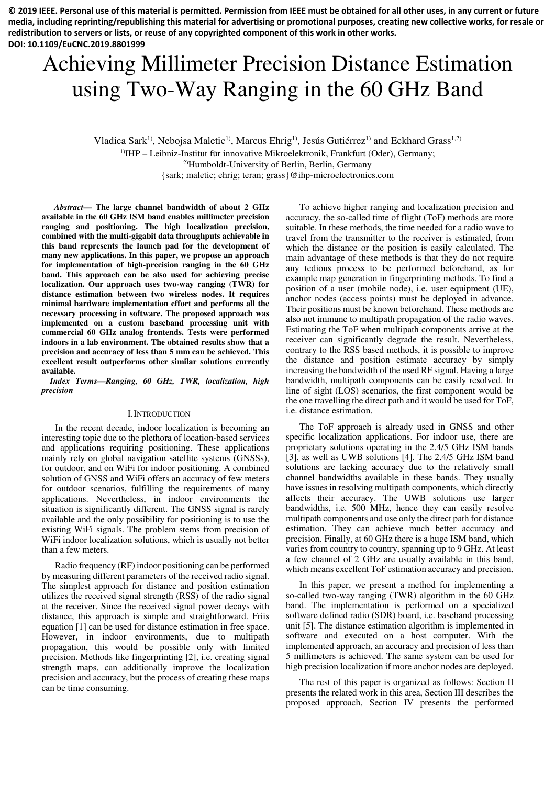**© 2019 IEEE. Personal use of this material is permitted. Permission from IEEE must be obtained for all other uses, in any current or future media, including reprinting/republishing this material for advertising or promotional purposes, creating new collective works, for resale or redistribution to servers or lists, or reuse of any copyrighted component of this work in other works. DOI: 10.1109/EuCNC.2019.8801999** 

# Achieving Millimeter Precision Distance Estimation using Two-Way Ranging in the 60 GHz Band

Vladica Sark<sup>1)</sup>, Nebojsa Maletic<sup>1)</sup>, Marcus Ehrig<sup>1)</sup>, Jesús Gutiérrez<sup>1)</sup> and Eckhard Grass<sup>1,2)</sup>

1)IHP – Leibniz-Institut für innovative Mikroelektronik, Frankfurt (Oder), Germany; 2)Humboldt-University of Berlin, Berlin, Germany

{sark; maletic; ehrig; teran; grass}@ihp-microelectronics.com

*Abstract***— The large channel bandwidth of about 2 GHz available in the 60 GHz ISM band enables millimeter precision ranging and positioning. The high localization precision, combined with the multi-gigabit data throughputs achievable in this band represents the launch pad for the development of many new applications. In this paper, we propose an approach for implementation of high-precision ranging in the 60 GHz band. This approach can be also used for achieving precise localization. Our approach uses two-way ranging (TWR) for distance estimation between two wireless nodes. It requires minimal hardware implementation effort and performs all the necessary processing in software. The proposed approach was implemented on a custom baseband processing unit with commercial 60 GHz analog frontends. Tests were performed indoors in a lab environment. The obtained results show that a precision and accuracy of less than 5 mm can be achieved. This excellent result outperforms other similar solutions currently available.**

*Index Terms—Ranging, 60 GHz, TWR, localization, high precision* 

#### I.INTRODUCTION

In the recent decade, indoor localization is becoming an interesting topic due to the plethora of location-based services and applications requiring positioning. These applications mainly rely on global navigation satellite systems (GNSSs), for outdoor, and on WiFi for indoor positioning. A combined solution of GNSS and WiFi offers an accuracy of few meters for outdoor scenarios, fulfilling the requirements of many applications. Nevertheless, in indoor environments the situation is significantly different. The GNSS signal is rarely available and the only possibility for positioning is to use the existing WiFi signals. The problem stems from precision of WiFi indoor localization solutions, which is usually not better than a few meters.

Radio frequency (RF) indoor positioning can be performed by measuring different parameters of the received radio signal. The simplest approach for distance and position estimation utilizes the received signal strength (RSS) of the radio signal at the receiver. Since the received signal power decays with distance, this approach is simple and straightforward. Friis equation [1] can be used for distance estimation in free space. However, in indoor environments, due to multipath propagation, this would be possible only with limited precision. Methods like fingerprinting [2], i.e. creating signal strength maps, can additionally improve the localization precision and accuracy, but the process of creating these maps can be time consuming.

To achieve higher ranging and localization precision and accuracy, the so-called time of flight (ToF) methods are more suitable. In these methods, the time needed for a radio wave to travel from the transmitter to the receiver is estimated, from which the distance or the position is easily calculated. The main advantage of these methods is that they do not require any tedious process to be performed beforehand, as for example map generation in fingerprinting methods. To find a position of a user (mobile node), i.e. user equipment (UE), anchor nodes (access points) must be deployed in advance. Their positions must be known beforehand. These methods are also not immune to multipath propagation of the radio waves. Estimating the ToF when multipath components arrive at the receiver can significantly degrade the result. Nevertheless, contrary to the RSS based methods, it is possible to improve the distance and position estimate accuracy by simply increasing the bandwidth of the used RF signal. Having a large bandwidth, multipath components can be easily resolved. In line of sight (LOS) scenarios, the first component would be the one travelling the direct path and it would be used for ToF, i.e. distance estimation.

The ToF approach is already used in GNSS and other specific localization applications. For indoor use, there are proprietary solutions operating in the 2.4/5 GHz ISM bands [3], as well as UWB solutions [4]. The 2.4/5 GHz ISM band solutions are lacking accuracy due to the relatively small channel bandwidths available in these bands. They usually have issues in resolving multipath components, which directly affects their accuracy. The UWB solutions use larger bandwidths, i.e. 500 MHz, hence they can easily resolve multipath components and use only the direct path for distance estimation. They can achieve much better accuracy and precision. Finally, at 60 GHz there is a huge ISM band, which varies from country to country, spanning up to 9 GHz. At least a few channel of 2 GHz are usually available in this band, which means excellent ToF estimation accuracy and precision.

In this paper, we present a method for implementing a so-called two-way ranging (TWR) algorithm in the 60 GHz band. The implementation is performed on a specialized software defined radio (SDR) board, i.e. baseband processing unit [5]. The distance estimation algorithm is implemented in software and executed on a host computer. With the implemented approach, an accuracy and precision of less than 5 millimeters is achieved. The same system can be used for high precision localization if more anchor nodes are deployed.

The rest of this paper is organized as follows: Section II presents the related work in this area, Section III describes the proposed approach, Section IV presents the performed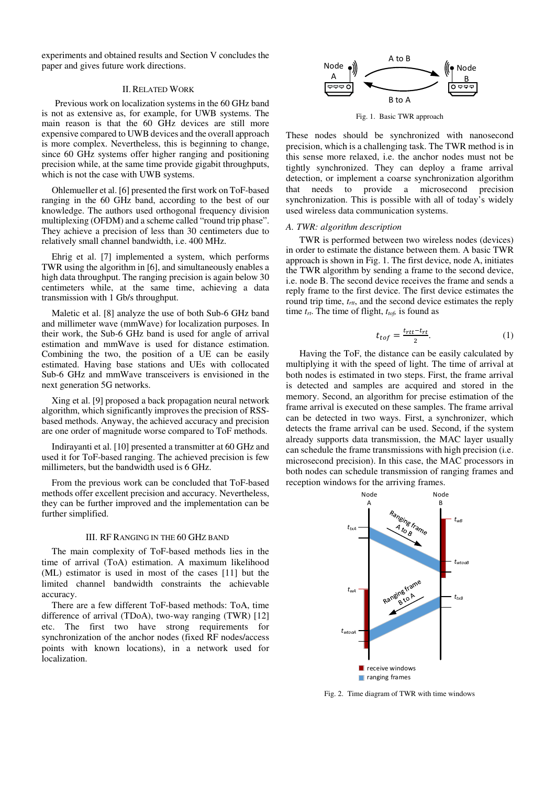experiments and obtained results and Section V concludes the paper and gives future work directions.

## II.RELATED WORK

 Previous work on localization systems in the 60 GHz band is not as extensive as, for example, for UWB systems. The main reason is that the 60 GHz devices are still more expensive compared to UWB devices and the overall approach is more complex. Nevertheless, this is beginning to change, since 60 GHz systems offer higher ranging and positioning precision while, at the same time provide gigabit throughputs, which is not the case with UWB systems.

Ohlemueller et al. [6] presented the first work on ToF-based ranging in the 60 GHz band, according to the best of our knowledge. The authors used orthogonal frequency division multiplexing (OFDM) and a scheme called "round trip phase". They achieve a precision of less than 30 centimeters due to relatively small channel bandwidth, i.e. 400 MHz.

Ehrig et al. [7] implemented a system, which performs TWR using the algorithm in [6], and simultaneously enables a high data throughput. The ranging precision is again below 30 centimeters while, at the same time, achieving a data transmission with 1 Gb/s throughput.

Maletic et al. [8] analyze the use of both Sub-6 GHz band and millimeter wave (mmWave) for localization purposes. In their work, the Sub-6 GHz band is used for angle of arrival estimation and mmWave is used for distance estimation. Combining the two, the position of a UE can be easily estimated. Having base stations and UEs with collocated Sub-6 GHz and mmWave transceivers is envisioned in the next generation 5G networks.

Xing et al. [9] proposed a back propagation neural network algorithm, which significantly improves the precision of RSSbased methods. Anyway, the achieved accuracy and precision are one order of magnitude worse compared to ToF methods.

Indirayanti et al. [10] presented a transmitter at 60 GHz and used it for ToF-based ranging. The achieved precision is few millimeters, but the bandwidth used is 6 GHz.

From the previous work can be concluded that ToF-based methods offer excellent precision and accuracy. Nevertheless, they can be further improved and the implementation can be further simplified.

## III. RF RANGING IN THE 60 GHZ BAND

The main complexity of ToF-based methods lies in the time of arrival (ToA) estimation. A maximum likelihood (ML) estimator is used in most of the cases [11] but the limited channel bandwidth constraints the achievable accuracy.

There are a few different ToF-based methods: ToA, time difference of arrival (TDoA), two-way ranging (TWR) [12] etc. The first two have strong requirements for synchronization of the anchor nodes (fixed RF nodes/access points with known locations), in a network used for localization.



Fig. 1. Basic TWR approach

These nodes should be synchronized with nanosecond precision, which is a challenging task. The TWR method is in this sense more relaxed, i.e. the anchor nodes must not be tightly synchronized. They can deploy a frame arrival detection, or implement a coarse synchronization algorithm that needs to provide a microsecond precision synchronization. This is possible with all of today's widely used wireless data communication systems.

#### *A. TWR: algorithm description*

TWR is performed between two wireless nodes (devices) in order to estimate the distance between them. A basic TWR approach is shown in Fig. 1. The first device, node A, initiates the TWR algorithm by sending a frame to the second device, i.e. node B. The second device receives the frame and sends a reply frame to the first device. The first device estimates the round trip time, *trtt*, and the second device estimates the reply time  $t_{rt}$ . The time of flight,  $t_{tof}$  is found as

$$
t_{tof} = \frac{t_{rtt} - t_{rt}}{2}.\tag{1}
$$

Having the ToF, the distance can be easily calculated by multiplying it with the speed of light. The time of arrival at both nodes is estimated in two steps. First, the frame arrival is detected and samples are acquired and stored in the memory. Second, an algorithm for precise estimation of the frame arrival is executed on these samples. The frame arrival can be detected in two ways. First, a synchronizer, which detects the frame arrival can be used. Second, if the system already supports data transmission, the MAC layer usually can schedule the frame transmissions with high precision (i.e. microsecond precision). In this case, the MAC processors in both nodes can schedule transmission of ranging frames and reception windows for the arriving frames.



Fig. 2. Time diagram of TWR with time windows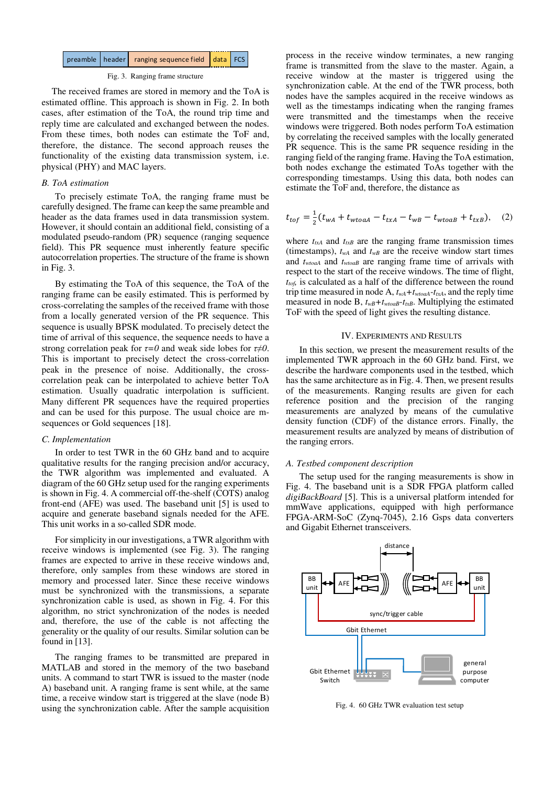

## Fig. 3. Ranging frame structure

The received frames are stored in memory and the ToA is estimated offline. This approach is shown in Fig. 2. In both cases, after estimation of the ToA, the round trip time and reply time are calculated and exchanged between the nodes. From these times, both nodes can estimate the ToF and, therefore, the distance. The second approach reuses the functionality of the existing data transmission system, i.e. physical (PHY) and MAC layers.

## *B. ToA estimation*

To precisely estimate ToA, the ranging frame must be carefully designed. The frame can keep the same preamble and header as the data frames used in data transmission system. However, it should contain an additional field, consisting of a modulated pseudo-random (PR) sequence (ranging sequence field). This PR sequence must inherently feature specific autocorrelation properties. The structure of the frame is shown in Fig. 3.

By estimating the ToA of this sequence, the ToA of the ranging frame can be easily estimated. This is performed by cross-correlating the samples of the received frame with those from a locally generated version of the PR sequence. This sequence is usually BPSK modulated. To precisely detect the time of arrival of this sequence, the sequence needs to have a strong correlation peak for *τ=0* and weak side lobes for *τ≠0*. This is important to precisely detect the cross-correlation peak in the presence of noise. Additionally, the crosscorrelation peak can be interpolated to achieve better ToA estimation. Usually quadratic interpolation is sufficient. Many different PR sequences have the required properties and can be used for this purpose. The usual choice are msequences or Gold sequences [18].

#### *C. Implementation*

In order to test TWR in the 60 GHz band and to acquire qualitative results for the ranging precision and/or accuracy, the TWR algorithm was implemented and evaluated. A diagram of the 60 GHz setup used for the ranging experiments is shown in Fig. 4. A commercial off-the-shelf (COTS) analog front-end (AFE) was used. The baseband unit [5] is used to acquire and generate baseband signals needed for the AFE. This unit works in a so-called SDR mode.

For simplicity in our investigations, a TWR algorithm with receive windows is implemented (see Fig. 3). The ranging frames are expected to arrive in these receive windows and, therefore, only samples from these windows are stored in memory and processed later. Since these receive windows must be synchronized with the transmissions, a separate synchronization cable is used, as shown in Fig. 4. For this algorithm, no strict synchronization of the nodes is needed and, therefore, the use of the cable is not affecting the generality or the quality of our results. Similar solution can be found in [13].

The ranging frames to be transmitted are prepared in MATLAB and stored in the memory of the two baseband units. A command to start TWR is issued to the master (node A) baseband unit. A ranging frame is sent while, at the same time, a receive window start is triggered at the slave (node B) using the synchronization cable. After the sample acquisition process in the receive window terminates, a new ranging frame is transmitted from the slave to the master. Again, a receive window at the master is triggered using the synchronization cable. At the end of the TWR process, both nodes have the samples acquired in the receive windows as well as the timestamps indicating when the ranging frames were transmitted and the timestamps when the receive windows were triggered. Both nodes perform ToA estimation by correlating the received samples with the locally generated PR sequence. This is the same PR sequence residing in the ranging field of the ranging frame. Having the ToA estimation, both nodes exchange the estimated ToAs together with the corresponding timestamps. Using this data, both nodes can estimate the ToF and, therefore, the distance as

$$
t_{tof} = \frac{1}{2}(t_{WA} + t_{wtoaA} - t_{txA} - t_{WB} - t_{wtoaB} + t_{txB}),
$$
 (2)

where  $t_{\text{txA}}$  and  $t_{\text{txB}}$  are the ranging frame transmission times (timestamps),  $t_{wA}$  and  $t_{wB}$  are the receive window start times and  $t_{wto\alpha A}$  and  $t_{wto\alpha B}$  are ranging frame time of arrivals with respect to the start of the receive windows. The time of flight, *ttof,* is calculated as a half of the difference between the round trip time measured in node A,  $t_{wA} + t_{wtoaA} - t_{txA}$ , and the reply time measured in node B, *twB+twtoaB-ttxB*. Multiplying the estimated ToF with the speed of light gives the resulting distance.

## IV. EXPERIMENTS AND RESULTS

In this section, we present the measurement results of the implemented TWR approach in the 60 GHz band. First, we describe the hardware components used in the testbed, which has the same architecture as in Fig. 4. Then, we present results of the measurements. Ranging results are given for each reference position and the precision of the ranging measurements are analyzed by means of the cumulative density function (CDF) of the distance errors. Finally, the measurement results are analyzed by means of distribution of the ranging errors.

### *A. Testbed component description*

The setup used for the ranging measurements is show in Fig. 4. The baseband unit is a SDR FPGA platform called *digiBackBoard* [5]. This is a universal platform intended for mmWave applications, equipped with high performance FPGA-ARM-SoC (Zynq-7045), 2.16 Gsps data converters and Gigabit Ethernet transceivers.



Fig. 4. 60 GHz TWR evaluation test setup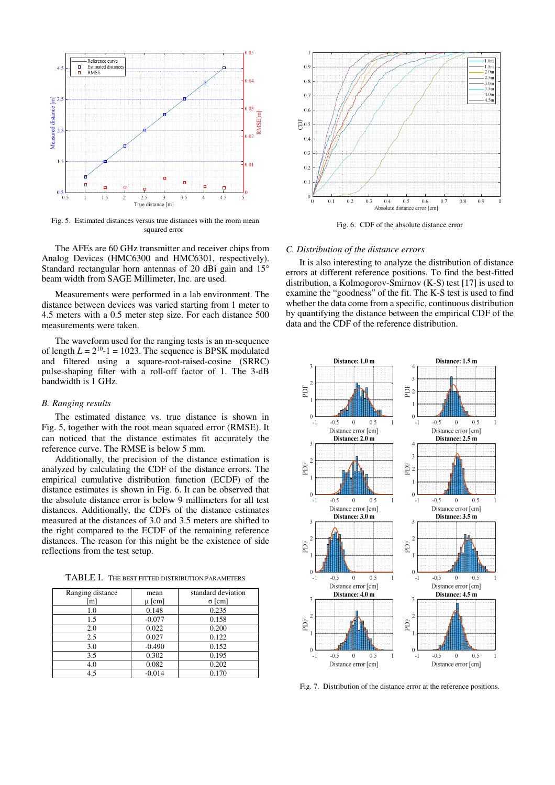

Fig. 5. Estimated distances versus true distances with the room mean squared error

The AFEs are 60 GHz transmitter and receiver chips from Analog Devices (HMC6300 and HMC6301, respectively). Standard rectangular horn antennas of 20 dBi gain and 15° beam width from SAGE Millimeter, Inc. are used.

Measurements were performed in a lab environment. The distance between devices was varied starting from 1 meter to 4.5 meters with a 0.5 meter step size. For each distance 500 measurements were taken.

The waveform used for the ranging tests is an m-sequence of length  $L = 2^{10} - 1 = 1023$ . The sequence is BPSK modulated and filtered using a square-root-raised-cosine (SRRC) pulse-shaping filter with a roll-off factor of 1. The 3-dB bandwidth is 1 GHz.

## *B. Ranging results*

The estimated distance vs. true distance is shown in Fig. 5, together with the root mean squared error (RMSE). It can noticed that the distance estimates fit accurately the reference curve. The RMSE is below 5 mm.

Additionally, the precision of the distance estimation is analyzed by calculating the CDF of the distance errors. The empirical cumulative distribution function (ECDF) of the distance estimates is shown in Fig. 6. It can be observed that the absolute distance error is below 9 millimeters for all test distances. Additionally, the CDFs of the distance estimates measured at the distances of 3.0 and 3.5 meters are shifted to the right compared to the ECDF of the remaining reference distances. The reason for this might be the existence of side reflections from the test setup.

TABLE I. THE BEST FITTED DISTRIBUTION PARAMETERS

| Ranging distance | mean       | standard deviation |
|------------------|------------|--------------------|
| [m]              | $\mu$ [cm] | $\sigma$ [cm]      |
| 1.0              | 0.148      | 0.235              |
| 1.5              | $-0.077$   | 0.158              |
| 2.0              | 0.022      | 0.200              |
| 2.5              | 0.027      | 0.122              |
| 3.0              | $-0.490$   | 0.152              |
| 3.5              | 0.302      | 0.195              |
| 4.0              | 0.082      | 0.202              |
| 4.5              | $-0.014$   | 0.170              |



Fig. 6. CDF of the absolute distance error

### *C. Distribution of the distance errors*

It is also interesting to analyze the distribution of distance errors at different reference positions. To find the best-fitted distribution, a Kolmogorov-Smirnov (K-S) test [17] is used to examine the "goodness" of the fit. The K-S test is used to find whether the data come from a specific, continuous distribution by quantifying the distance between the empirical CDF of the data and the CDF of the reference distribution.



Fig. 7. Distribution of the distance error at the reference positions.